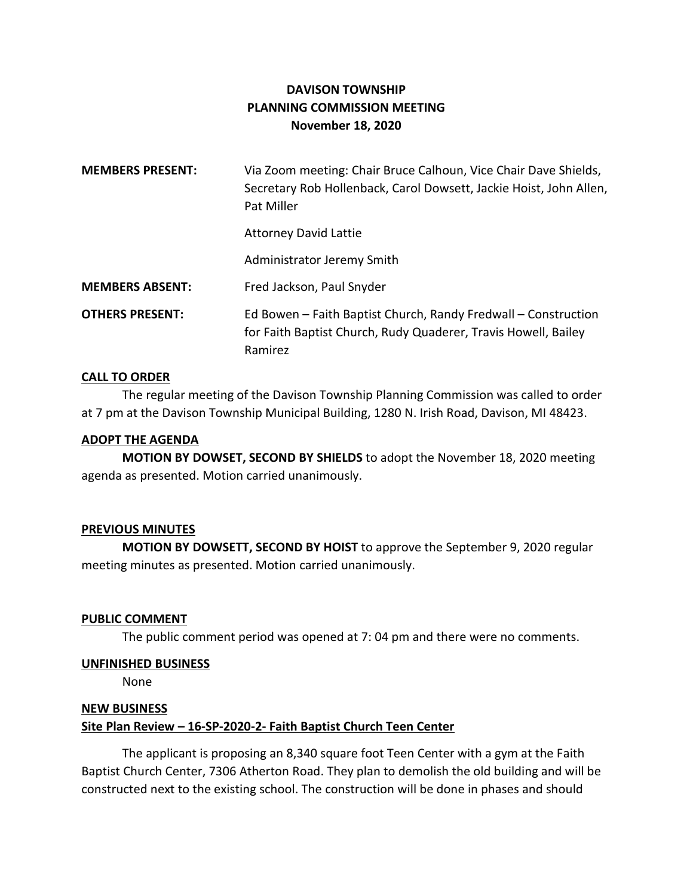# **DAVISON TOWNSHIP PLANNING COMMISSION MEETING November 18, 2020**

| <b>MEMBERS PRESENT:</b> | Via Zoom meeting: Chair Bruce Calhoun, Vice Chair Dave Shields,<br>Secretary Rob Hollenback, Carol Dowsett, Jackie Hoist, John Allen,<br>Pat Miller |
|-------------------------|-----------------------------------------------------------------------------------------------------------------------------------------------------|
|                         | <b>Attorney David Lattie</b>                                                                                                                        |
|                         | Administrator Jeremy Smith                                                                                                                          |
| <b>MEMBERS ABSENT:</b>  | Fred Jackson, Paul Snyder                                                                                                                           |
| <b>OTHERS PRESENT:</b>  | Ed Bowen - Faith Baptist Church, Randy Fredwall - Construction<br>for Faith Baptist Church, Rudy Quaderer, Travis Howell, Bailey<br>Ramirez         |

#### **CALL TO ORDER**

The regular meeting of the Davison Township Planning Commission was called to order at 7 pm at the Davison Township Municipal Building, 1280 N. Irish Road, Davison, MI 48423.

#### **ADOPT THE AGENDA**

**MOTION BY DOWSET, SECOND BY SHIELDS** to adopt the November 18, 2020 meeting agenda as presented. Motion carried unanimously.

# **PREVIOUS MINUTES**

**MOTION BY DOWSETT, SECOND BY HOIST** to approve the September 9, 2020 regular meeting minutes as presented. Motion carried unanimously.

# **PUBLIC COMMENT**

The public comment period was opened at 7: 04 pm and there were no comments.

#### **UNFINISHED BUSINESS**

None

# **NEW BUSINESS**

# **Site Plan Review – 16-SP-2020-2- Faith Baptist Church Teen Center**

The applicant is proposing an 8,340 square foot Teen Center with a gym at the Faith Baptist Church Center, 7306 Atherton Road. They plan to demolish the old building and will be constructed next to the existing school. The construction will be done in phases and should